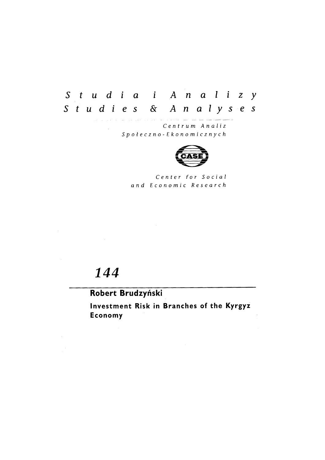# Studia i Analizy Studies & Analyses

Centrum Analiz Społeczno-Ekonomicznych



Center for Social and Economic Research

# 144

## Robert Brudzyński

Investment Risk in Branches of the Kyrgyz Economy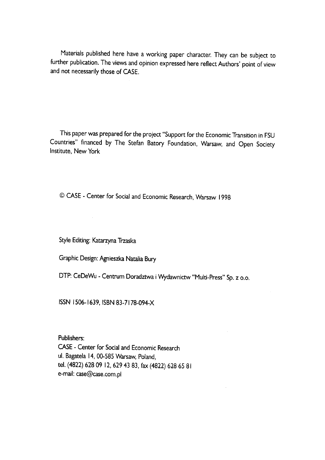Materials published here have a working paper character. They can be subject to further publication. The views and opinion expressed here reflect Authors' point of view and not necessarily those of CASE.

This paper was prepared for the project "Support for the Economic Transition in FSU Countries" financed by The Stefan Batory Foundation, Warsaw, and Open Society **Institute, New York** 

© CASE - Center for Social and Economic Research, Warsaw 1998

Style Editing: Katarzyna Trzaska

Graphic Design: Agnieszka Natalia Bury

DTP: CeDeWu - Centrum Doradztwa i Wydawnictw "Multi-Press" Sp. z o.o.

ISSN 1506-1639, ISBN 83-7178-094-X

Publishers:

CASE - Center for Social and Economic Research ul. Bagatela 14, 00-585 Warsaw, Poland, tel. (4822) 628 09 12, 629 43 83, fax (4822) 628 65 81 e-mail: case@case.com.pl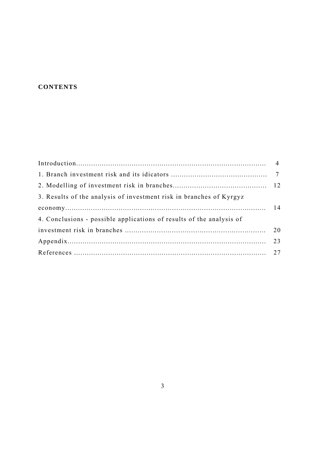### **CONTENTS**

| 3. Results of the analysis of investment risk in branches of Kyrgyz  |    |
|----------------------------------------------------------------------|----|
|                                                                      |    |
| 4. Conclusions - possible applications of results of the analysis of |    |
|                                                                      | 20 |
|                                                                      |    |
|                                                                      |    |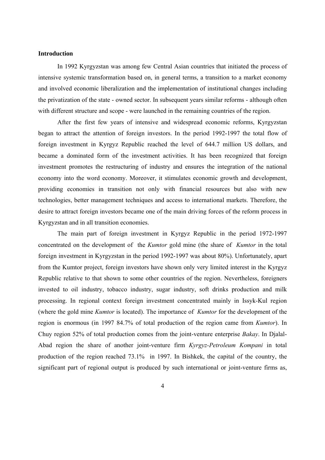#### **Introduction**

 In 1992 Kyrgyzstan was among few Central Asian countries that initiated the process of intensive systemic transformation based on, in general terms, a transition to a market economy and involved economic liberalization and the implementation of institutional changes including the privatization of the state - owned sector. In subsequent years similar reforms - although often with different structure and scope - were launched in the remaining countries of the region.

 After the first few years of intensive and widespread economic reforms, Kyrgyzstan began to attract the attention of foreign investors. In the period 1992-1997 the total flow of foreign investment in Kyrgyz Republic reached the level of 644.7 million US dollars, and became a dominated form of the investment activities. It has been recognized that foreign investment promotes the restructuring of industry and ensures the integration of the national economy into the word economy. Moreover, it stimulates economic growth and development, providing economies in transition not only with financial resources but also with new technologies, better management techniques and access to international markets. Therefore, the desire to attract foreign investors became one of the main driving forces of the reform process in Kyrgyzstan and in all transition economies.

The main part of foreign investment in Kyrgyz Republic in the period 1972-1997 concentrated on the development of the *Kumtor* gold mine (the share of *Kumtor* in the total foreign investment in Kyrgyzstan in the period 1992-1997 was about 80%). Unfortunately, apart from the Kumtor project, foreign investors have shown only very limited interest in the Kyrgyz Republic relative to that shown to some other countries of the region. Nevertheless, foreigners invested to oil industry, tobacco industry, sugar industry, soft drinks production and milk processing. In regional context foreign investment concentrated mainly in Issyk-Kul region (where the gold mine *Kumtor* is located). The importance of *Kumtor* for the development of the region is enormous (in 1997 84.7% of total production of the region came from *Kumtor*). In Chuy region 52% of total production comes from the joint-venture enterprise *Bakay*. In Djalal-Abad region the share of another joint-venture firm *Kyrgyz-Petroleum Kompani* in total production of the region reached 73.1% in 1997. In Bishkek, the capital of the country, the significant part of regional output is produced by such international or joint-venture firms as,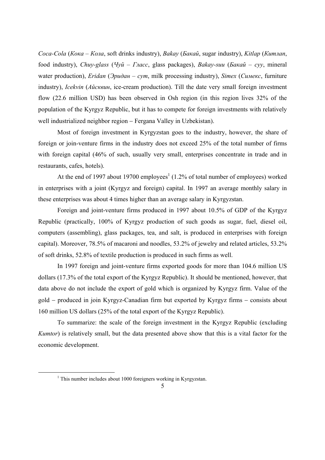*Coca-Cola* (*Кока* – *Кола*, soft drinks industry), *Bakay* (*Бакай*, sugar industry), *Kitlap* (*Китлап*, food industry), *Chuy-glass* (*Чуй – Гласс*, glass packages), *Bakay-suu* (*Бакай – cvv*, mineral water production), *Eridan* (Эридан – *cym*, milk processing industry), *Simex* (Симекс, furniture industry), *Icekvin* (*Айсквин*, ice-cream production). Till the date very small foreign investment flow (22.6 million USD) has been observed in Osh region (in this region lives 32% of the population of the Kyrgyz Republic, but it has to compete for foreign investments with relatively well industrialized neighbor region − Fergana Valley in Uzbekistan).

 Most of foreign investment in Kyrgyzstan goes to the industry, however, the share of foreign or join-venture firms in the industry does not exceed 25% of the total number of firms with foreign capital (46% of such, usually very small, enterprises concentrate in trade and in restaurants, cafes, hotels).

At the end of 1997 about 19700 employees<sup>1</sup> (1.2% of total number of employees) worked in enterprises with a joint (Kyrgyz and foreign) capital. In 1997 an average monthly salary in these enterprises was about 4 times higher than an average salary in Kyrgyzstan.

 Foreign and joint-venture firms produced in 1997 about 10.5% of GDP of the Kyrgyz Republic (practically, 100% of Kyrgyz production of such goods as sugar, fuel, diesel oil, computers (assembling), glass packages, tea, and salt, is produced in enterprises with foreign capital). Moreover, 78.5% of macaroni and noodles, 53.2% of jewelry and related articles, 53.2% of soft drinks, 52.8% of textile production is produced in such firms as well.

 In 1997 foreign and joint-venture firms exported goods for more than 104.6 million US dollars (17.3% of the total export of the Kyrgyz Republic). It should be mentioned, however, that data above do not include the export of gold which is organized by Kyrgyz firm. Value of the gold − produced in join Kyrgyz-Canadian firm but exported by Kyrgyz firms − consists about 160 million US dollars (25% of the total export of the Kyrgyz Republic).

 To summarize: the scale of the foreign investment in the Kyrgyz Republic (excluding *Kumtor*) is relatively small, but the data presented above show that this is a vital factor for the economic development.

 $\begin{array}{c|c}\n\hline\n\end{array}$  $<sup>1</sup>$  This number includes about 1000 foreigners working in Kyrgyzstan.</sup>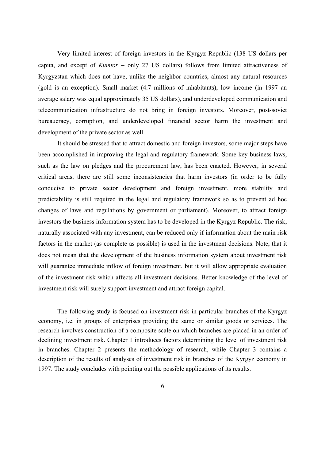Very limited interest of foreign investors in the Kyrgyz Republic (138 US dollars per capita, and except of *Kumtor* − only 27 US dollars) follows from limited attractiveness of Kyrgyzstan which does not have, unlike the neighbor countries, almost any natural resources (gold is an exception). Small market (4.7 millions of inhabitants), low income (in 1997 an average salary was equal approximately 35 US dollars), and underdeveloped communication and telecommunication infrastructure do not bring in foreign investors. Moreover, post-soviet bureaucracy, corruption, and underdeveloped financial sector harm the investment and development of the private sector as well.

 It should be stressed that to attract domestic and foreign investors, some major steps have been accomplished in improving the legal and regulatory framework. Some key business laws, such as the law on pledges and the procurement law, has been enacted. However, in several critical areas, there are still some inconsistencies that harm investors (in order to be fully conducive to private sector development and foreign investment, more stability and predictability is still required in the legal and regulatory framework so as to prevent ad hoc changes of laws and regulations by government or parliament). Moreover, to attract foreign investors the business information system has to be developed in the Kyrgyz Republic. The risk, naturally associated with any investment, can be reduced only if information about the main risk factors in the market (as complete as possible) is used in the investment decisions. Note, that it does not mean that the development of the business information system about investment risk will guarantee immediate inflow of foreign investment, but it will allow appropriate evaluation of the investment risk which affects all investment decisions. Better knowledge of the level of investment risk will surely support investment and attract foreign capital.

 The following study is focused on investment risk in particular branches of the Kyrgyz economy, i.e. in groups of enterprises providing the same or similar goods or services. The research involves construction of a composite scale on which branches are placed in an order of declining investment risk. Chapter 1 introduces factors determining the level of investment risk in branches. Chapter 2 presents the methodology of research, while Chapter 3 contains a description of the results of analyses of investment risk in branches of the Kyrgyz economy in 1997. The study concludes with pointing out the possible applications of its results.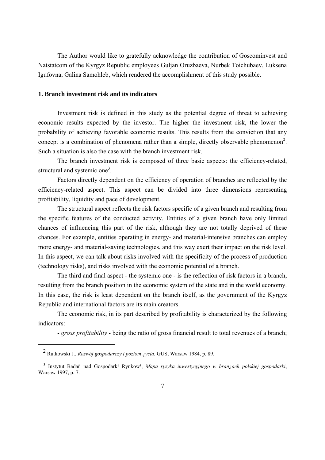The Author would like to gratefully acknowledge the contribution of Goscominvest and Natstatcom of the Kyrgyz Republic employees Guljan Oruzbaeva, Nurbek Toichubaev, Luksena Igufovna, Galina Samohleb, which rendered the accomplishment of this study possible.

#### **1. Branch investment risk and its indicators**

 Investment risk is defined in this study as the potential degree of threat to achieving economic results expected by the investor. The higher the investment risk, the lower the probability of achieving favorable economic results. This results from the conviction that any concept is a combination of phenomena rather than a simple, directly observable phenomenon<sup>2</sup>. Such a situation is also the case with the branch investment risk.

 The branch investment risk is composed of three basic aspects: the efficiency-related, structural and systemic one<sup>3</sup>.

 Factors directly dependent on the efficiency of operation of branches are reflected by the efficiency-related aspect. This aspect can be divided into three dimensions representing profitability, liquidity and pace of development.

 The structural aspect reflects the risk factors specific of a given branch and resulting from the specific features of the conducted activity. Entities of a given branch have only limited chances of influencing this part of the risk, although they are not totally deprived of these chances. For example, entities operating in energy- and material-intensive branches can employ more energy- and material-saving technologies, and this way exert their impact on the risk level. In this aspect, we can talk about risks involved with the specificity of the process of production (technology risks), and risks involved with the economic potential of a branch.

 The third and final aspect - the systemic one - is the reflection of risk factors in a branch, resulting from the branch position in the economic system of the state and in the world economy. In this case, the risk is least dependent on the branch itself, as the government of the Kyrgyz Republic and international factors are its main creators.

 The economic risk, in its part described by profitability is characterized by the following indicators:

- *gross profitability* - being the ratio of gross financial result to total revenues of a branch;

-

<sup>&</sup>lt;sup>2</sup> Rutkowski J., *Rozwój gospodarczy i poziom ¿ycia*, GUS, Warsaw 1984, p. 89.

<sup>&</sup>lt;sup>3</sup> Instytut Badañ nad Gospodark<sup>1</sup> Rynkow<sup>1</sup>, *Mapa ryzyka inwestycyjnego w bran¿ach polskiej gospodarki*, Warsaw 1997, p. 7.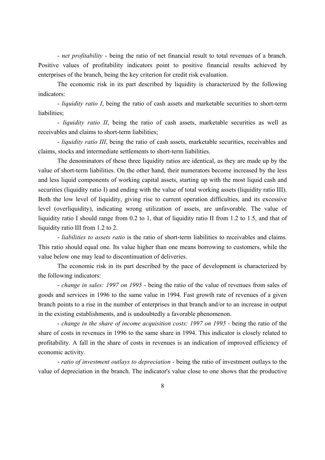- *net profitability* - being the ratio of net financial result to total revenues of a branch. Positive values of profitability indicators point to positive financial results achieved by enterprises of the branch, being the key criterion for credit risk evaluation.

 The economic risk in its part described by liquidity is characterized by the following indicators:

 - *liquidity ratio I*, being the ratio of cash assets and marketable securities to short-term liabilities:

 - *liquidity ratio II*, being the ratio of cash assets, marketable securities as well as receivables and claims to short-term liabilities;

 - *liquidity ratio III*, being the ratio of cash assets, marketable securities, receivables and claims, stocks and intermediate settlements to short-term liabilities.

 The denominators of these three liquidity ratios are identical, as they are made up by the value of short-term liabilities. On the other hand, their numerators become increased by the less and less liquid components of working capital assets, starting up with the most liquid cash and securities (liquidity ratio I) and ending with the value of total working assets (liquidity ratio III). Both the low level of liquidity, giving rise to current operation difficulties, and its excessive level (overliquidity), indicating wrong utilization of assets, are unfavorable. The value of liquidity ratio I should range from 0.2 to 1, that of liquidity ratio II from 1.2 to 1.5, and that of liquidity ratio III from 1.2 to 2.

 - *liabilities to assets ratio* is the ratio of short-term liabilities to receivables and claims. This ratio should equal one. Its value higher than one means borrowing to customers, while the value below one may lead to discontinuation of deliveries.

 The economic risk in its part described by the pace of development is characterized by the following indicators:

 - *change in sales: 1997 on 1995* - being the ratio of the value of revenues from sales of goods and services in 1996 to the same value in 1994. Fast growth rate of revenues of a given branch points to a rise in the number of enterprises in that branch and/or to an increase in output in the existing establishments, and is undoubtedly a favorable phenomenon.

 - *change in the share of income acquisition costs: 1997 on 1995* - being the ratio of the share of costs in revenues in 1996 to the same share in 1994. This indicator is closely related to profitability. A fall in the share of costs in revenues is an indication of improved efficiency of economic activity.

 - *ratio of investment outlays to depreciation* - being the ratio of investment outlays to the value of depreciation in the branch. The indicator's value close to one shows that the productive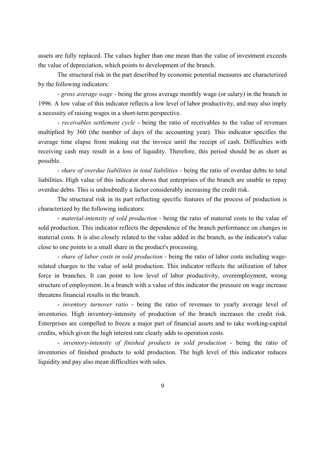assets are fully replaced. The values higher than one mean than the value of investment exceeds the value of depreciation, which points to development of the branch.

 The structural risk in the part described by economic potential measures are characterized by the following indicators:

 - *gross average wage* - being the gross average monthly wage (or salary) in the branch in 1996. A low value of this indicator reflects a low level of labor productivity, and may also imply a necessity of raising wages in a short-term perspective.

 - *receivables settlement cycle* - being the ratio of receivables to the value of revenues multiplied by 360 (the number of days of the accounting year). This indicator specifies the average time elapse from making out the invoice until the receipt of cash. Difficulties with receiving cash may result in a loss of liquidity. Therefore, this period should be as short as possible.

 - *share of overdue liabilities in total liabilities* - being the ratio of overdue debts to total liabilities. High value of this indicator shows that enterprises of the branch are unable to repay overdue debts. This is undoubtedly a factor considerably increasing the credit risk.

 The structural risk in its part reflecting specific features of the process of production is characterized by the following indicators:

 - *material-intensity of sold production* - being the ratio of material costs to the value of sold production. This indicator reflects the dependence of the branch performance on changes in material costs. It is also closely related to the value added in the branch, as the indicator's value close to one points to a small share in the product's processing.

 - *share of labor costs in sold production* - being the ratio of labor costs including wagerelated charges to the value of sold production. This indicator reflects the utilization of labor force in branches. It can point to low level of labor productivity, overemployment, wrong structure of employment. In a branch with a value of this indicator the pressure on wage increase threatens financial results in the branch.

 - *inventory turnover ratio* - being the ratio of revenues to yearly average level of inventories. High inventory-intensity of production of the branch increases the credit risk. Enterprises are compelled to freeze a major part of financial assets and to take working-capital credits, which given the high interest rate clearly adds to operation costs.

 - *inventory-intensity of finished products in sold production* - being the ratio of inventories of finished products to sold production. The high level of this indicator reduces liquidity and pay also mean difficulties with sales.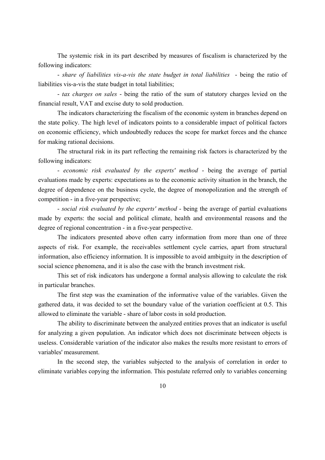The systemic risk in its part described by measures of fiscalism is characterized by the following indicators:

 - *share of liabilities vis-a-vis the state budget in total liabilities* - being the ratio of liabilities vis-a-vis the state budget in total liabilities;

 - *tax charges on sales* - being the ratio of the sum of statutory charges levied on the financial result, VAT and excise duty to sold production.

 The indicators characterizing the fiscalism of the economic system in branches depend on the state policy. The high level of indicators points to a considerable impact of political factors on economic efficiency, which undoubtedly reduces the scope for market forces and the chance for making rational decisions.

 The structural risk in its part reflecting the remaining risk factors is characterized by the following indicators:

 - *economic risk evaluated by the experts' method* - being the average of partial evaluations made by experts: expectations as to the economic activity situation in the branch, the degree of dependence on the business cycle, the degree of monopolization and the strength of competition - in a five-year perspective;

 - *social risk evaluated by the experts' method* - being the average of partial evaluations made by experts: the social and political climate, health and environmental reasons and the degree of regional concentration - in a five-year perspective.

 The indicators presented above often carry information from more than one of three aspects of risk. For example, the receivables settlement cycle carries, apart from structural information, also efficiency information. It is impossible to avoid ambiguity in the description of social science phenomena, and it is also the case with the branch investment risk.

 This set of risk indicators has undergone a formal analysis allowing to calculate the risk in particular branches.

 The first step was the examination of the informative value of the variables. Given the gathered data, it was decided to set the boundary value of the variation coefficient at 0.5. This allowed to eliminate the variable - share of labor costs in sold production.

 The ability to discriminate between the analyzed entities proves that an indicator is useful for analyzing a given population. An indicator which does not discriminate between objects is useless. Considerable variation of the indicator also makes the results more resistant to errors of variables' measurement.

 In the second step, the variables subjected to the analysis of correlation in order to eliminate variables copying the information. This postulate referred only to variables concerning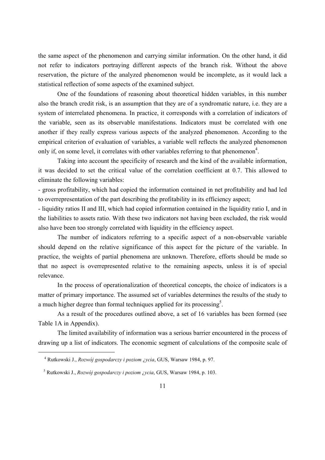the same aspect of the phenomenon and carrying similar information. On the other hand, it did not refer to indicators portraying different aspects of the branch risk. Without the above reservation, the picture of the analyzed phenomenon would be incomplete, as it would lack a statistical reflection of some aspects of the examined subject.

 One of the foundations of reasoning about theoretical hidden variables, in this number also the branch credit risk, is an assumption that they are of a syndromatic nature, i.e. they are a system of interrelated phenomena. In practice, it corresponds with a correlation of indicators of the variable, seen as its observable manifestations. Indicators must be correlated with one another if they really express various aspects of the analyzed phenomenon. According to the empirical criterion of evaluation of variables, a variable well reflects the analyzed phenomenon only if, on some level, it correlates with other variables referring to that phenomenon<sup>4</sup>.

 Taking into account the specificity of research and the kind of the available information, it was decided to set the critical value of the correlation coefficient at 0.7. This allowed to eliminate the following variables:

- gross profitability, which had copied the information contained in net profitability and had led to overrepresentation of the part describing the profitability in its efficiency aspect;

- liquidity ratios II and III, which had copied information contained in the liquidity ratio I, and in the liabilities to assets ratio. With these two indicators not having been excluded, the risk would also have been too strongly correlated with liquidity in the efficiency aspect.

 The number of indicators referring to a specific aspect of a non-observable variable should depend on the relative significance of this aspect for the picture of the variable. In practice, the weights of partial phenomena are unknown. Therefore, efforts should be made so that no aspect is overrepresented relative to the remaining aspects, unless it is of special relevance.

 In the process of operationalization of theoretical concepts, the choice of indicators is a matter of primary importance. The assumed set of variables determines the results of the study to a much higher degree than formal techniques applied for its processing<sup>5</sup>.

 As a result of the procedures outlined above, a set of 16 variables has been formed (see Table 1A in Appendix).

 The limited availability of information was a serious barrier encountered in the process of drawing up a list of indicators. The economic segment of calculations of the composite scale of

-

<sup>&</sup>lt;sup>4</sup> Rutkowski J., *Rozwój gospodarczy i poziom ¿ycia*, GUS, Warsaw 1984, p. 97.

<sup>&</sup>lt;sup>5</sup> Rutkowski J., *Rozwój gospodarczy i poziom ¿ycia*, GUS, Warsaw 1984, p. 103.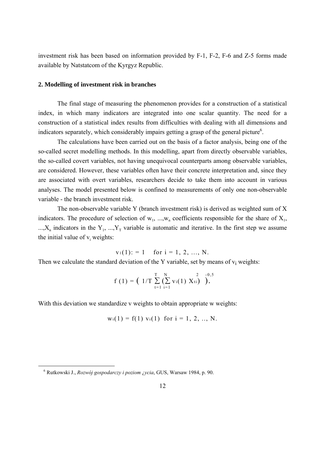investment risk has been based on information provided by F-1, F-2, F-6 and Z-5 forms made available by Natstatcom of the Kyrgyz Republic.

#### **2. Modelling of investment risk in branches**

 The final stage of measuring the phenomenon provides for a construction of a statistical index, in which many indicators are integrated into one scalar quantity. The need for a construction of a statistical index results from difficulties with dealing with all dimensions and indicators separately, which considerably impairs getting a grasp of the general picture<sup>6</sup>.

 The calculations have been carried out on the basis of a factor analysis, being one of the so-called secret modelling methods. In this modelling, apart from directly observable variables, the so-called covert variables, not having unequivocal counterparts among observable variables, are considered. However, these variables often have their concrete interpretation and, since they are associated with overt variables, researchers decide to take them into account in various analyses. The model presented below is confined to measurements of only one non-observable variable - the branch investment risk.

 The non-observable variable Y (branch investment risk) is derived as weighted sum of X indicators. The procedure of selection of  $w_1$ , ..., $w_n$  coefficients responsible for the share of  $X_1$ , ..., $X_n$  indicators in the  $Y_1$ , ..., $Y_T$  variable is automatic and iterative. In the first step we assume the initial value of  $v_i$  weights:

 $v_1(1)$ : = 1 for i = 1, 2, ..., N.

Then we calculate the standard deviation of the Y variable, set by means of  $v_i$  weights:

$$
f(1) = (1/T \sum_{t=1}^{T} (\sum_{i=1}^{N} v_i(1) X_{ti})^2).
$$

With this deviation we standardize v weights to obtain appropriate w weights:

$$
w_i(1) = f(1) v_i(1)
$$
 for  $i = 1, 2, ..., N$ .

 $\overline{\phantom{0}}$ 

<sup>&</sup>lt;sup>6</sup> Rutkowski J., *Rozwój gospodarczy i poziom ¿ycia*, GUS, Warsaw 1984, p. 90.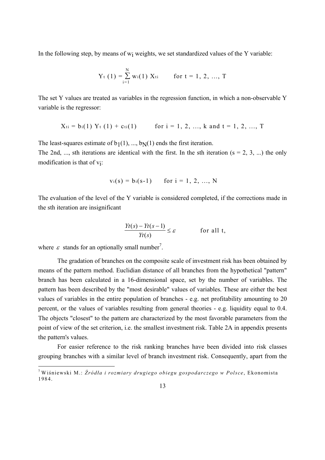In the following step, by means of  $w_i$  weights, we set standardized values of the Y variable:

$$
Y_{t}(1) = \sum_{i=1}^{N} w_{i}(1) X_{ti} \quad \text{for } t = 1, 2, ..., T
$$

The set Y values are treated as variables in the regression function, in which a non-observable Y variable is the regressor:

$$
X_{ti} = b_i(1) Y_t(1) + c_{ti}(1)
$$
 for  $i = 1, 2, ..., k$  and  $t = 1, 2, ..., T$ 

The least-squares estimate of  $b_1(1), ..., b_N(1)$  ends the first iteration.

The 2nd, ..., sth iterations are identical with the first. In the sth iteration ( $s = 2, 3, ...$ ) the only modification is that of vi:

$$
v_i(s) = b_i(s-1)
$$
 for  $i = 1, 2, ..., N$ 

The evaluation of the level of the Y variable is considered completed, if the corrections made in the sth iteration are insignificant

$$
\frac{Yt(s) - Yt(s-1)}{Yt(s)} \le \varepsilon \qquad \text{for all } t,
$$

where  $\varepsilon$  stands for an optionally small number<sup>7</sup>.

-

 The gradation of branches on the composite scale of investment risk has been obtained by means of the pattern method. Euclidian distance of all branches from the hypothetical "pattern" branch has been calculated in a 16-dimensional space, set by the number of variables. The pattern has been described by the "most desirable" values of variables. These are either the best values of variables in the entire population of branches - e.g. net profitability amounting to 20 percent, or the values of variables resulting from general theories - e.g. liquidity equal to 0.4. The objects "closest" to the pattern are characterized by the most favorable parameters from the point of view of the set criterion, i.e. the smallest investment risk. Table 2A in appendix presents the pattern's values.

 For easier reference to the risk ranking branches have been divided into risk classes grouping branches with a similar level of branch investment risk. Consequently, apart from the

<sup>&</sup>lt;sup>7</sup> Wiśniewski M.: Ź*ródła i rozmiary drugiego obiegu gospodarczego w Polsce*, Ekonomista 1984.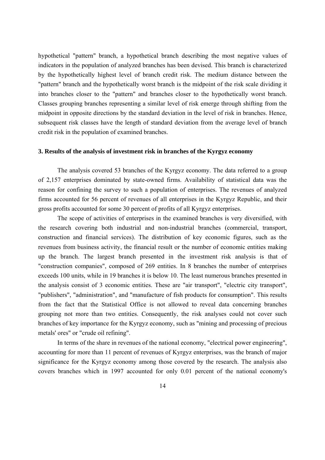hypothetical "pattern" branch, a hypothetical branch describing the most negative values of indicators in the population of analyzed branches has been devised. This branch is characterized by the hypothetically highest level of branch credit risk. The medium distance between the "pattern" branch and the hypothetically worst branch is the midpoint of the risk scale dividing it into branches closer to the "pattern" and branches closer to the hypothetically worst branch. Classes grouping branches representing a similar level of risk emerge through shifting from the midpoint in opposite directions by the standard deviation in the level of risk in branches. Hence, subsequent risk classes have the length of standard deviation from the average level of branch credit risk in the population of examined branches.

#### **3. Results of the analysis of investment risk in branches of the Kyrgyz economy**

 The analysis covered 53 branches of the Kyrgyz economy. The data referred to a group of 2,157 enterprises dominated by state-owned firms. Availability of statistical data was the reason for confining the survey to such a population of enterprises. The revenues of analyzed firms accounted for 56 percent of revenues of all enterprises in the Kyrgyz Republic, and their gross profits accounted for some 30 percent of profits of all Kyrgyz enterprises.

 The scope of activities of enterprises in the examined branches is very diversified, with the research covering both industrial and non-industrial branches (commercial, transport, construction and financial services). The distribution of key economic figures, such as the revenues from business activity, the financial result or the number of economic entities making up the branch. The largest branch presented in the investment risk analysis is that of "construction companies", composed of 269 entities. In 8 branches the number of enterprises exceeds 100 units, while in 19 branches it is below 10. The least numerous branches presented in the analysis consist of 3 economic entities. These are "air transport", "electric city transport", "publishers", "administration", and "manufacture of fish products for consumption". This results from the fact that the Statistical Office is not allowed to reveal data concerning branches grouping not more than two entities. Consequently, the risk analyses could not cover such branches of key importance for the Kyrgyz economy, such as "mining and processing of precious metals' ores" or "crude oil refining".

 In terms of the share in revenues of the national economy, "electrical power engineering", accounting for more than 11 percent of revenues of Kyrgyz enterprises, was the branch of major significance for the Kyrgyz economy among those covered by the research. The analysis also covers branches which in 1997 accounted for only 0.01 percent of the national economy's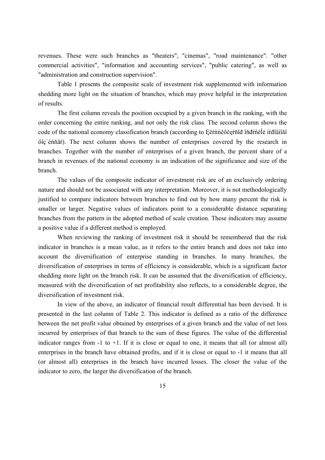revenues. These were such branches as "theaters", "cinemas", "road maintenance". "other commercial activities", "information and accounting services", "public catering", as well as "administration and construction supervision".

 Table 1 presents the composite scale of investment risk supplemented with information shedding more light on the situation of branches, which may prove helpful in the interpretation of results.

 The first column reveals the position occupied by a given branch in the ranking, with the order concerning the entire ranking, and not only the risk class. The second column shows the code of the national economy classification branch (according to Ęĕŕńńčôčęŕňîđ îňđŕńĕĺé íŕđîãíîăî őîç éńňâr). The next column shows the number of enterprises covered by the research in branches. Together with the number of enterprises of a given branch, the percent share of a branch in revenues of the national economy is an indication of the significance and size of the branch.

 The values of the composite indicator of investment risk are of an exclusively ordering nature and should not be associated with any interpretation. Moreover, it is not methodologically justified to compare indicators between branches to find out by how many percent the risk is smaller or larger. Negative values of indicators point to a considerable distance separating branches from the pattern in the adopted method of scale creation. These indicators may assume a positive value if a different method is employed.

 When reviewing the ranking of investment risk it should be remembered that the risk indicator in branches is a mean value, as it refers to the entire branch and does not take into account the diversification of enterprise standing in branches. In many branches, the diversification of enterprises in terms of efficiency is considerable, which is a significant factor shedding more light on the branch risk. It can be assumed that the diversification of efficiency, measured with the diversification of net profitability also reflects, to a considerable degree, the diversification of investment risk.

 In view of the above, an indicator of financial result differential has been devised. It is presented in the last column of Table 2. This indicator is defined as a ratio of the difference between the net profit value obtained by enterprises of a given branch and the value of net loss incurred by enterprises of that branch to the sum of these figures. The value of the differential indicator ranges from  $-1$  to  $+1$ . If it is close or equal to one, it means that all (or almost all) enterprises in the branch have obtained profits, and if it is close or equal to -1 it means that all (or almost all) enterprises in the branch have incurred losses. The closer the value of the indicator to zero, the larger the diversification of the branch.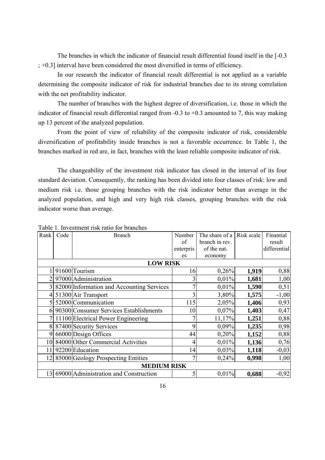The branches in which the indicator of financial result differential found itself in the [-0.3] ; +0.3] interval have been considered the most diversified in terms of efficiency.

 In our research the indicator of financial result differential is not applied as a variable determining the composite indicator of risk for industrial branches due to its strong correlation with the net profitability indicator.

 The number of branches with the highest degree of diversification, i.e. those in which the indicator of financial result differential ranged from  $-0.3$  to  $+0.3$  amounted to 7, this way making up 13 percent of the analyzed population.

 From the point of view of reliability of the composite indicator of risk, considerable diversification of profitability inside branches is not a favorable occurrence. In Table 1, the branches marked in red are, in fact, branches with the least reliable composite indicator of risk.

 The changeability of the investment risk indicator has closed in the interval of its four standard deviation. Consequently, the ranking has been divided into four classes of risk: low and medium risk i.e. those grouping branches with the risk indicator better than average in the analyzed population, and high and very high risk classes, grouping branches with the risk indicator worse than average.

| Rank | Code            | <b>Branch</b>                             | Number         | The share of a | Risk scale | Finantial    |  |  |  |  |  |  |  |  |
|------|-----------------|-------------------------------------------|----------------|----------------|------------|--------------|--|--|--|--|--|--|--|--|
|      |                 |                                           | of             | branch in rev. |            | result       |  |  |  |  |  |  |  |  |
|      |                 |                                           | enterpris      | of the nat.    |            | differential |  |  |  |  |  |  |  |  |
|      |                 |                                           | es             | economy        |            |              |  |  |  |  |  |  |  |  |
|      | <b>LOW RISK</b> |                                           |                |                |            |              |  |  |  |  |  |  |  |  |
|      |                 | 91600 Tourism                             | 16             | 0,26%          | 1,919      | 0,88         |  |  |  |  |  |  |  |  |
|      |                 | 97000 Administration                      | 3              | 0,01%          | 1,681      | 1,00         |  |  |  |  |  |  |  |  |
|      |                 | 82000 Information and Accounting Services | 7              | 0,01%          | 1,590      | 0,51         |  |  |  |  |  |  |  |  |
|      |                 | 51300 Air Transport                       | 3              | 3,80%          | 1,575      | $-1,00$      |  |  |  |  |  |  |  |  |
|      |                 | 52000 Communication                       | 115            | 2,05%          | 1,406      | 0,93         |  |  |  |  |  |  |  |  |
|      |                 | 6 90300 Consumer Services Establishments  | 10             | 0,07%          | 1,403      | 0,47         |  |  |  |  |  |  |  |  |
|      |                 | 7 11100 Electrical Power Engineering      | 7              | 11,17%         | 1,251      | 0,88         |  |  |  |  |  |  |  |  |
|      |                 | 8 87400 Security Services                 | 9              | 0,09%          | 1,235      | 0,98         |  |  |  |  |  |  |  |  |
| 9    |                 | 66000 Design Offices                      | 44             | 0,20%          | 1,152      | 0,88         |  |  |  |  |  |  |  |  |
|      |                 | 10 84000 Other Commercial Activities      | 4              | 0,01%          | 1,136      | 0,76         |  |  |  |  |  |  |  |  |
| 11   |                 | 92200 Education                           | 14             | 0,03%          | 1,118      | $-0,03$      |  |  |  |  |  |  |  |  |
| 12   |                 | 85000 Geology Prospecting Entities        | $\overline{7}$ | 0,24%          | 0,998      | 1,00         |  |  |  |  |  |  |  |  |
|      |                 | <b>MEDIUM RISK</b>                        |                |                |            |              |  |  |  |  |  |  |  |  |
| 13   |                 | 69000 Administration and Construction     | 5              | 0.01%          | 0,688      | $-0,92$      |  |  |  |  |  |  |  |  |

Table 1. Investment risk ratio for branches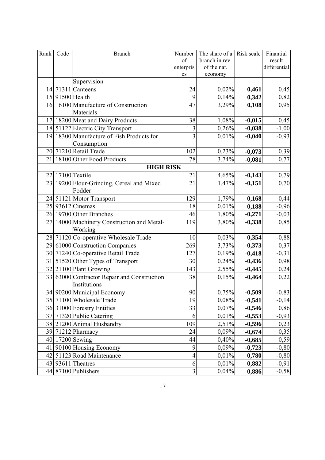| Rank             | Code            | <b>Branch</b>                               | Number          | The share of a Risk scale |          | Finantial    |  |  |  |  |  |  |  |
|------------------|-----------------|---------------------------------------------|-----------------|---------------------------|----------|--------------|--|--|--|--|--|--|--|
|                  |                 |                                             | of              | branch in rev.            |          | result       |  |  |  |  |  |  |  |
|                  |                 |                                             | enterpris<br>es | of the nat.               |          | differential |  |  |  |  |  |  |  |
|                  |                 | Supervision                                 |                 | economy                   |          |              |  |  |  |  |  |  |  |
| 14               |                 | 71311 Canteens                              | 24              | 0,02%                     | 0,461    | 0,45         |  |  |  |  |  |  |  |
|                  | 15 91500 Health |                                             | 9               | 0,14%                     | 0,342    | 0,82         |  |  |  |  |  |  |  |
|                  |                 | 16 16100 Manufacture of Construction        | 47              | 3,29%                     | 0,108    | 0,95         |  |  |  |  |  |  |  |
|                  |                 | Materials                                   |                 |                           |          |              |  |  |  |  |  |  |  |
|                  |                 | 17 18200 Meat and Dairy Products            | 38              | 1,08%                     | $-0,015$ | 0,45         |  |  |  |  |  |  |  |
|                  |                 | 18 51122 Electric City Transport            | 3               | 0,26%                     | $-0,038$ | $-1,00$      |  |  |  |  |  |  |  |
|                  |                 | 19 18300 Manufacture of Fish Products for   | $\overline{3}$  | 0,01%                     | $-0,040$ | $-0,93$      |  |  |  |  |  |  |  |
|                  |                 | Consumption                                 |                 |                           |          |              |  |  |  |  |  |  |  |
|                  |                 | 20 71210 Retail Trade                       | 102             | 0,23%                     | $-0,073$ | 0,39         |  |  |  |  |  |  |  |
| 21               |                 | 18100 Other Food Products                   | 78              | 3,74%                     | $-0,081$ | 0,77         |  |  |  |  |  |  |  |
| <b>HIGH RISK</b> |                 |                                             |                 |                           |          |              |  |  |  |  |  |  |  |
|                  |                 | 22 17100 Textile                            | 21              | 4,65%                     | $-0,143$ | 0,79         |  |  |  |  |  |  |  |
|                  |                 | 23 19200 Flour-Grinding, Cereal and Mixed   | 21              | 1,47%                     | $-0,151$ | 0,70         |  |  |  |  |  |  |  |
|                  |                 | Fodder                                      |                 |                           |          |              |  |  |  |  |  |  |  |
|                  |                 | 24 51121 Motor Transport                    | 129             | 1,79%                     | $-0,168$ | 0,44         |  |  |  |  |  |  |  |
|                  |                 | 25 93612 Cinemas                            | 18              | 0,01%                     | $-0,188$ | $-0,96$      |  |  |  |  |  |  |  |
|                  |                 | 26 19700 Other Branches                     | 46              | 1,80%                     | $-0,271$ | $-0,03$      |  |  |  |  |  |  |  |
|                  |                 | 27 14000 Machinery Construction and Metal-  | 119             | 3,80%                     | $-0,338$ | 0,85         |  |  |  |  |  |  |  |
|                  |                 | Working                                     |                 |                           |          |              |  |  |  |  |  |  |  |
|                  |                 | 28 71120 Co-operative Wholesale Trade       | 10              | 0,03%                     | $-0,354$ | $-0,88$      |  |  |  |  |  |  |  |
|                  |                 | 29 61000 Construction Companies             | 269             | 3,73%                     | $-0,373$ | 0,37         |  |  |  |  |  |  |  |
|                  |                 | 30 71240 Co-operative Retail Trade          | 127             | 0,19%                     | $-0,418$ | $-0,31$      |  |  |  |  |  |  |  |
|                  |                 | 31 51520 Other Types of Transport           | 30              | 0,24%                     | $-0,436$ | 0,98         |  |  |  |  |  |  |  |
|                  |                 | 32 21100 Plant Growing                      | 143             | 2,55%                     | $-0,445$ | 0,24         |  |  |  |  |  |  |  |
|                  |                 | 33 63000 Contractor Repair and Construction | 38              | 0,15%                     | $-0,464$ | 0,22         |  |  |  |  |  |  |  |
|                  |                 | Institutions                                |                 |                           |          |              |  |  |  |  |  |  |  |
|                  |                 | 34 90200 Municipal Economy                  | 90              | 0,75%                     | $-0,509$ | $-0,83$      |  |  |  |  |  |  |  |
|                  |                 | 35 71100 Wholesale Trade                    | 19              | 0,08%                     | $-0,541$ | $-0,14$      |  |  |  |  |  |  |  |
|                  |                 | 36 31000 Forestry Entities                  | 33              | 0,07%                     | $-0,546$ | 0,86         |  |  |  |  |  |  |  |
|                  |                 | 37 71320 Public Catering                    | 6               | 0,01%                     | $-0,553$ | $-0,93$      |  |  |  |  |  |  |  |
|                  |                 | 38 21200 Animal Husbandry                   | 109             | 2,51%                     | $-0,596$ | 0,23         |  |  |  |  |  |  |  |
|                  |                 | 39 71212 Pharmacy                           | 24              | 0,09%                     | $-0,674$ | 0,35         |  |  |  |  |  |  |  |
|                  |                 | 40 17200 Sewing                             | 44              | 0,40%                     | $-0,685$ | 0,59         |  |  |  |  |  |  |  |
|                  |                 | 41 90100 Housing Economy                    | 9               | 0,09%                     | $-0,723$ | $-0,80$      |  |  |  |  |  |  |  |
|                  |                 | 42 51123 Road Maintenance                   | $\overline{4}$  | 0,01%                     | $-0,780$ | $-0,80$      |  |  |  |  |  |  |  |
|                  |                 | 43 93611 Theatres                           | 6               | 0,01%                     | $-0,882$ | $-0,91$      |  |  |  |  |  |  |  |
|                  |                 | 44 87100 Publishers                         | $\overline{3}$  | 0,04%                     | $-0,886$ | $-0,58$      |  |  |  |  |  |  |  |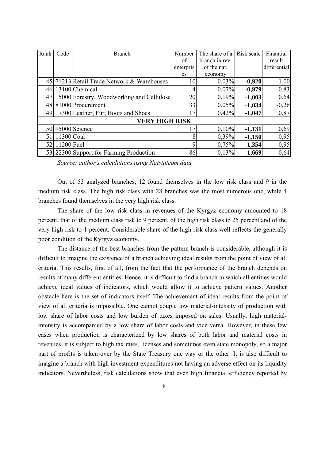| Rank | Code         | <b>Branch</b>                              | Number    | The share of a | Risk scale | Finantial    |
|------|--------------|--------------------------------------------|-----------|----------------|------------|--------------|
|      |              |                                            | of        | branch in rev. |            | result       |
|      |              |                                            | enterpris | of the nat.    |            | differential |
|      |              |                                            | es        | economy        |            |              |
|      |              | 45 71213 Retail Trade Network & Warehouses | 10        | 0,03%          | $-0,920$   | $-1,00$      |
| 46   |              | 13100 Chemical                             | 4         | 0.07%          | $-0,979$   | 0,83         |
| 47   |              | 15000 Forestry, Woodworking and Cellulose  | 20        | 0,19%          | $-1,003$   | 0,64         |
|      |              | 48 81000 Procurement                       | 33        | 0.05%          | $-1,034$   | $-0,26$      |
|      |              | 49 17300 Leather, Fur, Boots and Shoes     | 17        | 0,42%          | $-1,047$   | 0,87         |
|      |              | <b>VERY HIGH RISK</b>                      |           |                |            |              |
|      |              | 50 95000 Science                           | 17        | 0,10%          | $-1,131$   | 0,69         |
| 51   | $11300$ Coal |                                            | 8         | 0,39%          | $-1,150$   | $-0,95$      |
| 52   | 11200 Fuel   |                                            | 9         | 0,75%          | $-1,354$   | $-0,95$      |
|      |              | 53 22300 Support for Farming Production    | 86        | 0,13%          | $-1,669$   | $-0,64$      |

 *Source: author's calculations using Natstatcom data* 

 Out of 53 analyzed branches, 12 found themselves in the low risk class and 9 in the medium risk class. The high risk class with 28 branches was the most numerous one, while 4 branches found themselves in the very high risk class.

 The share of the low risk class in revenues of the Kyrgyz economy amounted to 18 percent, that of the medium class risk to 9 percent, of the high risk class to 25 percent and of the very high risk to 1 percent. Considerable share of the high risk class well reflects the generally poor condition of the Kyrgyz economy.

 The distance of the best branches from the pattern branch is considerable, although it is difficult to imagine the existence of a branch achieving ideal results from the point of view of all criteria. This results, first of all, from the fact that the performance of the branch depends on results of many different entities. Hence, it is difficult to find a branch in which all entities would achieve ideal values of indicators, which would allow it to achieve pattern values. Another obstacle here is the set of indicators itself. The achievement of ideal results from the point of view of all criteria is impossible. One cannot couple low material-intensity of production with low share of labor costs and low burden of taxes imposed on sales. Usually, high materialintensity is accompanied by a low share of labor costs and vice versa. However, in these few cases when production is characterized by low shares of both labor and material costs in revenues, it is subject to high tax rates, licenses and sometimes even state monopoly, so a major part of profits is taken over by the State Treasury one way or the other. It is also difficult to imagine a branch with high investment expenditures not having an adverse effect on its liquidity indicators. Nevertheless, risk calculations show that even high financial efficiency reported by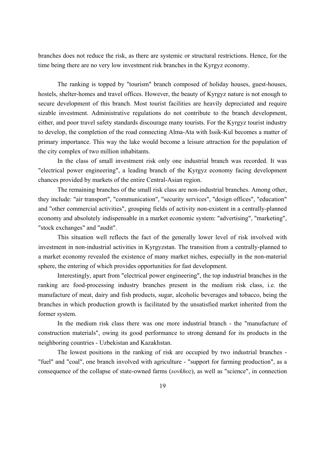branches does not reduce the risk, as there are systemic or structural restrictions. Hence, for the time being there are no very low investment risk branches in the Kyrgyz economy.

 The ranking is topped by "tourism" branch composed of holiday houses, guest-houses, hostels, shelter-homes and travel offices. However, the beauty of Kyrgyz nature is not enough to secure development of this branch. Most tourist facilities are heavily depreciated and require sizable investment. Administrative regulations do not contribute to the branch development, either, and poor travel safety standards discourage many tourists. For the Kyrgyz tourist industry to develop, the completion of the road connecting Alma-Ata with Issik-Kul becomes a matter of primary importance. This way the lake would become a leisure attraction for the population of the city complex of two million inhabitants.

 In the class of small investment risk only one industrial branch was recorded. It was "electrical power engineering", a leading branch of the Kyrgyz economy facing development chances provided by markets of the entire Central-Asian region.

 The remaining branches of the small risk class are non-industrial branches. Among other, they include: "air transport", "communication", "security services", "design offices", "education" and "other commercial activities", grouping fields of activity non-existent in a centrally-planned economy and absolutely indispensable in a market economic system: "advertising", "marketing", "stock exchanges" and "audit".

 This situation well reflects the fact of the generally lower level of risk involved with investment in non-industrial activities in Kyrgyzstan. The transition from a centrally-planned to a market economy revealed the existence of many market niches, especially in the non-material sphere, the entering of which provides opportunities for fast development.

 Interestingly, apart from "electrical power engineering", the top industrial branches in the ranking are food-processing industry branches present in the medium risk class, i.e. the manufacture of meat, dairy and fish products, sugar, alcoholic beverages and tobacco, being the branches in which production growth is facilitated by the unsatisfied market inherited from the former system.

 In the medium risk class there was one more industrial branch - the "manufacture of construction materials", owing its good performance to strong demand for its products in the neighboring countries - Uzbekistan and Kazakhstan.

 The lowest positions in the ranking of risk are occupied by two industrial branches - "fuel" and "coal", one branch involved with agriculture - "support for farming production", as a consequence of the collapse of state-owned farms (*sovkhoz*), as well as "science", in connection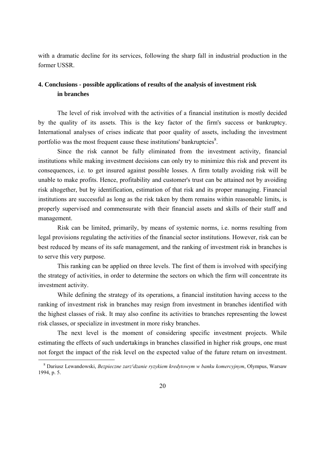with a dramatic decline for its services, following the sharp fall in industrial production in the former USSR.

### **4. Conclusions - possible applications of results of the analysis of investment risk in branches**

 The level of risk involved with the activities of a financial institution is mostly decided by the quality of its assets. This is the key factor of the firm's success or bankruptcy. International analyses of crises indicate that poor quality of assets, including the investment portfolio was the most frequent cause these institutions' bankruptcies $\delta$ .

 Since the risk cannot be fully eliminated from the investment activity, financial institutions while making investment decisions can only try to minimize this risk and prevent its consequences, i.e. to get insured against possible losses. A firm totally avoiding risk will be unable to make profits. Hence, profitability and customer's trust can be attained not by avoiding risk altogether, but by identification, estimation of that risk and its proper managing. Financial institutions are successful as long as the risk taken by them remains within reasonable limits, is properly supervised and commensurate with their financial assets and skills of their staff and management.

 Risk can be limited, primarily, by means of systemic norms, i.e. norms resulting from legal provisions regulating the activities of the financial sector institutions. However, risk can be best reduced by means of its safe management, and the ranking of investment risk in branches is to serve this very purpose.

 This ranking can be applied on three levels. The first of them is involved with specifying the strategy of activities, in order to determine the sectors on which the firm will concentrate its investment activity.

 While defining the strategy of its operations, a financial institution having access to the ranking of investment risk in branches may resign from investment in branches identified with the highest classes of risk. It may also confine its activities to branches representing the lowest risk classes, or specialize in investment in more risky branches.

 The next level is the moment of considering specific investment projects. While estimating the effects of such undertakings in branches classified in higher risk groups, one must not forget the impact of the risk level on the expected value of the future return on investment.

-

<sup>&</sup>lt;sup>8</sup> Dariusz Lewandowski, *Bezpieczne zarz<sup>1</sup>dzanie ryzykiem kredytowym w banku komercyjnym*, Olympus, Warsaw 1994, p. 5.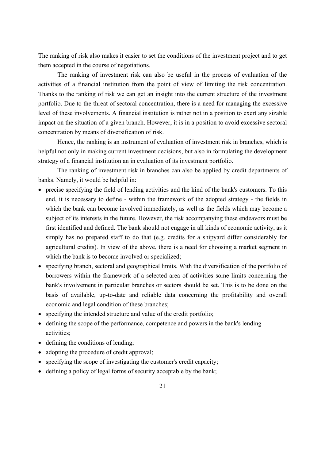The ranking of risk also makes it easier to set the conditions of the investment project and to get them accepted in the course of negotiations.

 The ranking of investment risk can also be useful in the process of evaluation of the activities of a financial institution from the point of view of limiting the risk concentration. Thanks to the ranking of risk we can get an insight into the current structure of the investment portfolio. Due to the threat of sectoral concentration, there is a need for managing the excessive level of these involvements. A financial institution is rather not in a position to exert any sizable impact on the situation of a given branch. However, it is in a position to avoid excessive sectoral concentration by means of diversification of risk.

 Hence, the ranking is an instrument of evaluation of investment risk in branches, which is helpful not only in making current investment decisions, but also in formulating the development strategy of a financial institution an in evaluation of its investment portfolio.

 The ranking of investment risk in branches can also be applied by credit departments of banks. Namely, it would be helpful in:

- precise specifying the field of lending activities and the kind of the bank's customers. To this end, it is necessary to define - within the framework of the adopted strategy - the fields in which the bank can become involved immediately, as well as the fields which may become a subject of its interests in the future. However, the risk accompanying these endeavors must be first identified and defined. The bank should not engage in all kinds of economic activity, as it simply has no prepared staff to do that (e.g. credits for a shipyard differ considerably for agricultural credits). In view of the above, there is a need for choosing a market segment in which the bank is to become involved or specialized;
- specifying branch, sectoral and geographical limits. With the diversification of the portfolio of borrowers within the framework of a selected area of activities some limits concerning the bank's involvement in particular branches or sectors should be set. This is to be done on the basis of available, up-to-date and reliable data concerning the profitability and overall economic and legal condition of these branches;
- specifying the intended structure and value of the credit portfolio;
- defining the scope of the performance, competence and powers in the bank's lending activities;
- defining the conditions of lending;
- adopting the procedure of credit approval;
- specifying the scope of investigating the customer's credit capacity;
- defining a policy of legal forms of security acceptable by the bank;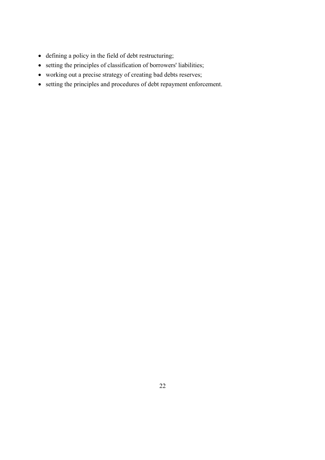- defining a policy in the field of debt restructuring;
- setting the principles of classification of borrowers' liabilities;
- working out a precise strategy of creating bad debts reserves;
- setting the principles and procedures of debt repayment enforcement.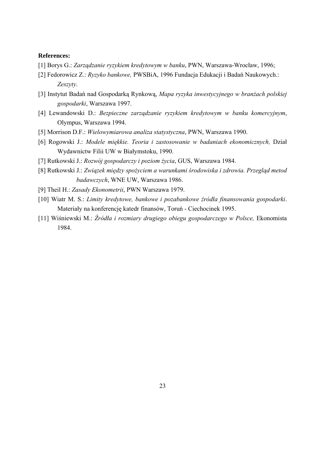#### **References:**

- [1] Borys G.: *Zarządzanie ryzykiem kredytowym w banku*, PWN, Warszawa-Wrocław, 1996;
- [2] Fedorowicz Z.: *Ryzyko bankowe,* PWSBiA, 1996 Fundacja Edukacji i Badań Naukowych.:  *Zeszyty*.
- [3] Instytut Badań nad Gospodarką Rynkową, *Mapa ryzyka inwestycyjnego w branżach polskiej gospodarki*, Warszawa 1997.
- [4] Lewandowski D.: *Bezpieczne zarządzanie ryzykiem kredytowym w banku komercyjnym*, Olympus, Warszawa 1994.
- [5] Morrison D.F.: *Wielowymiarowa analiza statystyczna*, PWN, Warszawa 1990.
- [6] Rogowski J.: *Modele miękkie. Teoria i zastosowanie w badaniach ekonomicznych,* Dział Wydawnictw Filii UW w Białymstoku, 1990.
- [7] Rutkowski J.: *Rozwój gospodarczy i poziom życia*, GUS, Warszawa 1984.
- [8] Rutkowski J.: *Związek między spożyciem a warunkami środowiska i zdrowia. Przegląd metod badawczych*, WNE UW, Warszawa 1986.
- [9] Theil H.: *Zasady Ekonometrii*, PWN Warszawa 1979.
- [10] Wiatr M. S.: *Limity kredytowe, bankowe i pozabankowe źródła finansowania gospodarki.* Materiały na konferencję katedr finansów, Toruń - Ciechocinek 1995.
- [11] Wiśniewski M.: *ŹrÛdła i rozmiary drugiego obiegu gospodarczego w Polsce,* Ekonomista 1984.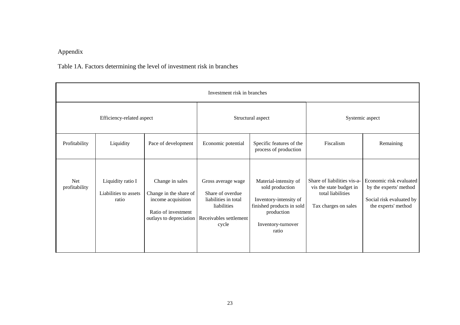## Appendix

## Table 1A. Factors determining the level of investment risk in branches

|                      | Investment risk in branches                         |                                                                                                                   |                                                                                                                  |                                                                                                                                              |                                                                                                     |                                                                                                      |  |  |  |  |  |  |  |  |  |
|----------------------|-----------------------------------------------------|-------------------------------------------------------------------------------------------------------------------|------------------------------------------------------------------------------------------------------------------|----------------------------------------------------------------------------------------------------------------------------------------------|-----------------------------------------------------------------------------------------------------|------------------------------------------------------------------------------------------------------|--|--|--|--|--|--|--|--|--|
|                      | Efficiency-related aspect                           |                                                                                                                   |                                                                                                                  | Structural aspect                                                                                                                            | Systemic aspect                                                                                     |                                                                                                      |  |  |  |  |  |  |  |  |  |
| Profitability        | Liquidity                                           | Pace of development                                                                                               | Economic potential                                                                                               | Specific features of the<br>process of production                                                                                            | Fiscalism                                                                                           | Remaining                                                                                            |  |  |  |  |  |  |  |  |  |
| Net<br>profitability | Liquidity ratio I<br>Liabilities to assets<br>ratio | Change in sales<br>Change in the share of<br>income acquisition<br>Ratio of investment<br>outlays to depreciation | Gross average wage<br>Share of overdue<br>liabilities in total<br>liabilities<br>Receivables settlement<br>cycle | Material-intensity of<br>sold production<br>Inventory-intensity of<br>finished products in sold<br>production<br>Inventory-turnover<br>ratio | Share of liabilities vis-a-<br>vis the state budget in<br>total liabilities<br>Tax charges on sales | Economic risk evaluated<br>by the experts' method<br>Social risk evaluated by<br>the experts' method |  |  |  |  |  |  |  |  |  |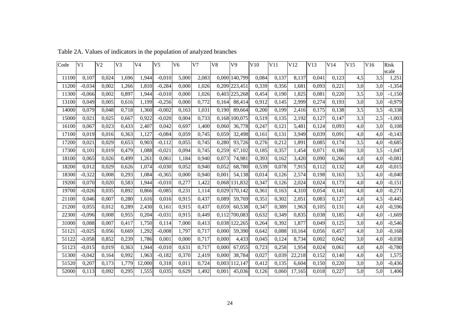| Code  | V <sub>1</sub> | V <sub>2</sub> | V <sub>3</sub> | V <sub>4</sub> | V <sub>5</sub> | V <sub>6</sub> | V <sub>7</sub> | V8    | V9            | V10   | V11   | V12    | V13   | V14   | V15 | V16 | Risk<br>scale |
|-------|----------------|----------------|----------------|----------------|----------------|----------------|----------------|-------|---------------|-------|-------|--------|-------|-------|-----|-----|---------------|
| 11100 | 0,107          | 0,024          | 1.696          | 1,944          | $-0,010$       | 5,000          | 2,083          |       | 0,000 140,799 | 0,084 | 0,137 | 8,137  | 0,041 | 0.123 | 4,5 | 3,5 | 1,251         |
| 11200 | $-0.034$       | 0,002          | 1,266          | 1,810          | $-0,284$       | 0,000          | 1,026          |       | 0,209 223,451 | 0,339 | 0,356 | 1,681  | 0.093 | 0,221 | 3,0 | 3,0 | $-1,354$      |
| 11300 | $-0,066$       | 0,002          | 0,897          | 1,944          | $-0.010$       | 0.000          | 1,026          |       | 0,403 225,268 | 0,454 | 0.190 | 1,825  | 0.081 | 0,220 | 3,5 | 3,0 | $-1,150$      |
| 13100 | 0,049          | 0,005          | 0,616          | 1,199          | $-0,256$       | 0,000          | 0,772          | 0,164 | 88,414        | 0,912 | 0,145 | 2,999  | 0,274 | 0,193 | 3,0 | 3,0 | $-0,979$      |
| 14000 | 0.079          | 0,048          | 0.718          | 1,360          | $-0.002$       | 0,163          | 1,031          | 0.190 | 89,664        | 0,200 | 0.199 | 2,416  | 0.175 | 0.138 | 3,5 | 3,5 | $-0,338$      |
| 15000 | 0,021          | 0,025          | 0,667          | 0,922          | $-0,020$       | 0,004          | 0,733          |       | 0,168 100,075 | 0,519 | 0,135 | 2,192  | 0,127 | 0,147 | 3,3 | 2,5 | $-1,003$      |
| 16100 | 0,067          | 0,023          | 0,433          | 2,407          | 0.042          | 0.697          | 1,400          | 0.060 | 36,778        | 0,247 | 0.121 | 5,481  | 0.124 | 0.093 | 4,0 | 3,0 | 0,108         |
| 17100 | 0,019          | 0,016          | 0,363          | 1,127          | $-0,084$       | 0,059          | 0,745          | 0,059 | 32,498        | 0,161 | 0,131 | 3,949  | 0,039 | 0.091 | 4,0 | 4,0 | $-0,143$      |
| 17200 | 0,021          | 0,029          | 0,653          | 0,903          | $-0.112$       | 0,055          | 0,745          | 0,280 | 93,726        | 0,276 | 0,212 | 1,891  | 0,085 | 0.174 | 3,5 | 4,0 | $-0,685$      |
| 17300 | 0,101          | 0,019          | 0,479          | 1,088          | $-0,021$       | 0,094          | 0,745          | 0,259 | 67,102        | 0,185 | 0,357 | 1,454  | 0.071 | 0.186 | 3,0 | 3,5 | $-1,047$      |
| 18100 | 0,065          | 0,026          | 0,499          | 1,261          | 0.061          | 1,184          | 0,940          | 0,073 | 74,981        | 0,393 | 0.162 | 3,420  | 0.090 | 0,266 | 4,0 | 4,0 | $-0,081$      |
| 18200 | 0,012          | 0,029          | 0,626          | 1,074          | $-0,030$       | 0,052          | 0,940          | 0,052 | 68,780        | 0,539 | 0,078 | 7,915  | 0,112 | 0.132 | 4,0 | 4,0 | $-0,015$      |
| 18300 | $-0,322$       | 0,008          | 0,293          | 1.084          | $-0,365$       | 0.000          | 0,940          | 0.001 | 54,138        | 0,014 | 0,126 | 2,574  | 0.198 | 0.163 | 3,5 | 4.0 | $-0,040$      |
| 19200 | 0,070          | 0,020          | 0,583          | 1,944          | $-0,010$       | 0,277          | 1,422          |       | 0,068 131,832 | 0,347 | 0,126 | 2,024  | 0.024 | 0.173 | 4,0 | 4.0 | $-0,151$      |
| 19700 | $-0,026$       | 0,035          | 0,892          | 0,866          | $-0.085$       | 0,231          | 1,114          | 0,029 | 170,142       | 0,361 | 0.163 | 4,310  | 0.054 | 0.141 | 4,0 | 4.0 | $-0,271$      |
| 21100 | 0,046          | 0,007          | 0,280          | 1,616          | 0,016          | 0,915          | 0,437          | 0,089 | 59,769        | 0,351 | 0,302 | 2,051  | 0.083 | 0.127 | 4,0 | 4,5 | $-0,445$      |
| 21200 | 0,055          | 0,012          | 0,289          | 2,430          | 0.161          | 0,915          | 0,437          | 0,059 | 60,538        | 0,347 | 0,389 | 1,963  | 0.105 | 0.131 | 4,0 | 4,0 | $-0,596$      |
| 22300 | $-0,096$       | 0,008          | 0,955          | 0,204          | $-0,031$       | 0,915          | 0,449          |       | 0,112 700,083 | 0,632 | 0,349 | 0,835  | 0.038 | 0.185 | 4,0 | 4,0 | $-1,669$      |
| 31000 | 0.088          | 0,007          | 0.417          | 1,750          | 0.114          | 7,000          | 0,413          |       | 0,038 122,265 | 0,264 | 0,392 | 1.877  | 0.049 | 0.125 | 3,0 | 4.0 | $-0,546$      |
| 51121 | $-0,025$       | 0,056          | 0,669          | 1,292          | $-0,008$       | 1,797          | 0,717          | 0,000 | 59,390        | 0,642 | 0,088 | 10,164 | 0,056 | 0,457 | 4,0 | 3,0 | $-0,168$      |
| 51122 | $-0.058$       | 0,852          | 0,239          | 1,786          | 0.001          | 0,000          | 0.717          | 0.000 | 4,433         | 0.045 | 0.124 | 8.734  | 0.002 | 0.042 | 3,0 | 4.0 | $-0,038$      |
| 51123 | $-0,015$       | 0,019          | 0,363          | 1,944          | $-0,010$       | 0,631          | 0,717          | 0,000 | 67,055        | 0,723 | 0,258 | 1,954  | 0.024 | 0.061 | 4,0 | 4,0 | $-0,780$      |
| 51300 | $-0.042$       | 0,164          | 0,992          | 1,963          | $-0.182$       | 0,370          | 2,419          | 0.000 | 38,784        | 0,027 | 0.039 | 22,218 | 0.152 | 0.140 | 4,0 | 4.0 | 1,575         |
| 51520 | 0,207          | 0,173          | 1,779          | 12,000         | 0,318          | 0,011          | 0,724          | 0,003 | 112,147       | 0,412 | 0,135 | 6,604  | 0,150 | 0,220 | 3,0 | 3,0 | $-0,436$      |
| 52000 | 0.113          | 0,092          | 0,295          | 1,555          | 0.035          | 0,629          | 1,492          | 0.001 | 45.036        | 0,126 | 0.060 | 17.165 | 0,018 | 0.227 | 5,0 | 5.0 | 1,406         |

Table 2A. Values of indicators in the population of analyzed branches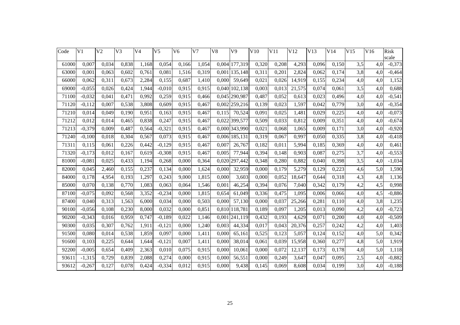| Code  | V <sub>1</sub> | V <sub>2</sub> | V3    | V <sub>4</sub> | V <sub>5</sub> | V <sub>6</sub> | V <sub>7</sub> | V8    | V9            | V10   | V11   | V12    | V13   | V14   | V15 | V16 | Risk     |
|-------|----------------|----------------|-------|----------------|----------------|----------------|----------------|-------|---------------|-------|-------|--------|-------|-------|-----|-----|----------|
|       |                |                |       |                |                |                |                |       |               |       |       |        |       |       |     |     | scale    |
| 61000 | 0,007          | 0,034          | 0,838 | 1,168          | 0,054          | 0,166          | 1,054          | 0,004 | 177,319       | 0,320 | 0,208 | 4,293  | 0,096 | 0,150 | 3,5 | 4,0 | $-0,373$ |
| 63000 | 0,001          | 0,063          | 0,602 | 0,761          | 0,081          | 1,516          | 0,319          | 0,001 | 135,148       | 0,311 | 0,201 | 2,824  | 0,062 | 0,174 | 3,8 | 4,0 | $-0,464$ |
| 66000 | 0,062          | 0,311          | 0,673 | 2,284          | 0,155          | 0,687          | 1,410          | 0,000 | 59,649        | 0,021 | 0,026 | 14,919 | 0,155 | 0,234 | 4,0 | 4,0 | 1,152    |
| 69000 | $-0,055$       | 0,026          | 0,424 | 1,944          | $-0,010$       | 0.915          | 0.915          | 0,040 | 102,138       | 0,003 | 0.013 | 21,575 | 0,074 | 0,061 | 3,5 | 4.0 | 0,688    |
| 71100 | $-0,032$       | 0,041          | 0,471 | 0,992          | 0,259          | 0,915          | 0,466          |       | 0,045 290,987 | 0,487 | 0,052 | 0,613  | 0,023 | 0,496 | 4,0 | 4,0 | $-0,541$ |
| 71120 | $-0,112$       | 0,007          | 0,538 | 3,808          | 0,609          | 0,915          | 0,467          |       | 0,002 259,216 | 0,139 | 0,023 | 1,597  | 0,042 | 0,779 | 3,0 | 4,0 | $-0,354$ |
| 71210 | 0,014          | 0,049          | 0,190 | 0,951          | 0,163          | 0,915          | 0,467          | 0,115 | 70,524        | 0,091 | 0,025 | 1,481  | 0,029 | 0,225 | 4,0 | 4,0 | $-0,073$ |
| 71212 | 0,012          | 0,014          | 0,465 | 0,838          | 0,247          | 0,915          | 0,467          |       | 0,022 399,577 | 0,509 | 0,033 | 0,812  | 0,009 | 0,351 | 4,0 | 4,0 | $-0,674$ |
| 71213 | $-0,379$       | 0,009          | 0,487 | 0,564          | $-0,321$       | 0,915          | 0,467          |       | 0,000 343,990 | 0,021 | 0,068 | 1,065  | 0,009 | 0,171 | 3,0 | 4,0 | $-0,920$ |
| 71240 | $-0,100$       | 0,018          | 0,304 | 0,567          | 0,073          | 0,915          | 0,467          |       | 0,006 185,131 | 0,319 | 0.067 | 0,997  | 0,050 | 0,335 | 3,8 | 4,0 | $-0,418$ |
| 71311 | 0,115          | 0,061          | 0,226 | 0,442          | $-0,129$       | 0,915          | 0,467          | 0,007 | 26,767        | 0,182 | 0,011 | 5,994  | 0,185 | 0,369 | 4,0 | 4,0 | 0,461    |
| 71320 | $-0,173$       | 0,012          | 0,167 | 0,619          | $-0,308$       | 0,915          | 0,467          | 0,005 | 77,944        | 0,394 | 0,148 | 0,903  | 0,087 | 0,275 | 3,7 | 4,0 | $-0,553$ |
| 81000 | $-0,081$       | 0,025          | 0,433 | 1,194          | 0,268          | 0,000          | 0,364          |       | 0,020 297,442 | 0,348 | 0,280 | 0,882  | 0,040 | 0,398 | 3,5 | 4,0 | $-1,034$ |
| 82000 | 0,045          | 2,460          | 0,155 | 0,237          | 0,134          | 0,000          | 1,624          | 0,000 | 32,959        | 0,000 | 0,179 | 5,279  | 0,129 | 0,223 | 4,6 | 5,0 | 1,590    |
| 84000 | 0,178          | 4,954          | 0,193 | 1,297          | 0,243          | 9,000          | 1,815          | 0,000 | 3,603         | 0,000 | 0,052 | 18,647 | 0,644 | 0,318 | 4,3 | 4,8 | 1,136    |
| 85000 | 0,070          | 0,138          | 0,770 | 1,083          | 0,063          | 0,064          | 1,546          | 0,001 | 46,254        | 0,394 | 0,076 | 7,040  | 0,342 | 0.179 | 4,2 | 4,5 | 0,998    |
| 87100 | $-0,075$       | 0,092          | 0,568 | 3,352          | $-0,234$       | 0,000          | 1,815          | 0,654 | 61,049        | 0,336 | 0,475 | 1,095  | 0,006 | 0.066 | 4,0 | 4,5 | $-0,886$ |
| 87400 | 0,040          | 0,313          | 1,563 | 6,000          | 0,034          | 0,000          | 0,503          | 0,000 | 57,130        | 0,000 | 0.037 | 25,266 | 0,281 | 0,110 | 4,0 | 3,8 | 1,235    |
| 90100 | $-0.056$       | 0,108          | 0,230 | 8,000          | 0,032          | 0,000          | 0,851          |       | 0,810 118,781 | 0,189 | 0,097 | 1,205  | 0,013 | 0,090 | 4,2 | 4,0 | $-0,723$ |
| 90200 | $-0,343$       | 0,016          | 0,959 | 0,747          | $-0,189$       | 0,022          | 1,146          |       | 0,001 241,119 | 0,432 | 0,193 | 4,629  | 0,071 | 0,200 | 4,0 | 4,0 | $-0,509$ |
| 90300 | 0,035          | 0,307          | 0,762 | 1,911          | $-0,121$       | 0,000          | 1,240          | 0,003 | 44,334        | 0,017 | 0,043 | 20,376 | 0,257 | 0,242 | 4,2 | 4,0 | 1,403    |
| 91500 | 0,080          | 0,014          | 0,538 | 1,859          | 0,097          | 0,000          | 1,411          | 0,000 | 65,161        | 0,525 | 0,123 | 5,057  | 0,124 | 0,152 | 4,0 | 5,0 | 0,342    |
| 91600 | 0,103          | 0,225          | 0,644 | 1,644          | $-0,121$       | 0,007          | 1,411          | 0,000 | 38,014        | 0,061 | 0,039 | 15,958 | 0,360 | 0,277 | 4,8 | 5,0 | 1,919    |
| 92200 | $-0,005$       | 0,654          | 0,409 | 2,363          | 0,010          | 0,075          | 0,915          | 0,000 | 10,061        | 0,000 | 0,072 | 12,137 | 0,173 | 0,178 | 4,0 | 5,0 | 1,118    |
| 93611 | $-1,315$       | 0,729          | 0,839 | 2,088          | 0,274          | 0,000          | 0,915          | 0,000 | 56,551        | 0,000 | 0,249 | 3,647  | 0,047 | 0.095 | 2,5 | 4,0 | $-0,882$ |
| 93612 | $-0,267$       | 0,127          | 0,078 | 0,424          | $-0,334$       | 0.012          | 0,915          | 0,000 | 9,438         | 0,145 | 0,069 | 8,608  | 0,034 | 0,199 | 3,0 | 4,0 | $-0,188$ |